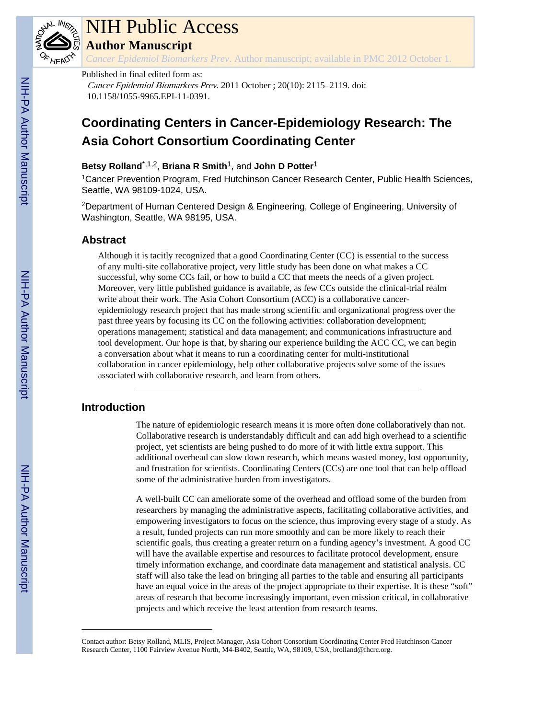

# NIH Public Access

**Author Manuscript**

*Cancer Epidemiol Biomarkers Prev*. Author manuscript; available in PMC 2012 October 1.

### Published in final edited form as:

Cancer Epidemiol Biomarkers Prev. 2011 October ; 20(10): 2115–2119. doi: 10.1158/1055-9965.EPI-11-0391.

# **Coordinating Centers in Cancer-Epidemiology Research: The Asia Cohort Consortium Coordinating Center**

# **Betsy Rolland**\*,1,2, **Briana R Smith**1, and **John D Potter**<sup>1</sup>

<sup>1</sup>Cancer Prevention Program, Fred Hutchinson Cancer Research Center, Public Health Sciences, Seattle, WA 98109-1024, USA.

<sup>2</sup>Department of Human Centered Design & Engineering, College of Engineering, University of Washington, Seattle, WA 98195, USA.

# **Abstract**

Although it is tacitly recognized that a good Coordinating Center (CC) is essential to the success of any multi-site collaborative project, very little study has been done on what makes a CC successful, why some CCs fail, or how to build a CC that meets the needs of a given project. Moreover, very little published guidance is available, as few CCs outside the clinical-trial realm write about their work. The Asia Cohort Consortium (ACC) is a collaborative cancerepidemiology research project that has made strong scientific and organizational progress over the past three years by focusing its CC on the following activities: collaboration development; operations management; statistical and data management; and communications infrastructure and tool development. Our hope is that, by sharing our experience building the ACC CC, we can begin a conversation about what it means to run a coordinating center for multi-institutional collaboration in cancer epidemiology, help other collaborative projects solve some of the issues associated with collaborative research, and learn from others.

# **Introduction**

The nature of epidemiologic research means it is more often done collaboratively than not. Collaborative research is understandably difficult and can add high overhead to a scientific project, yet scientists are being pushed to do more of it with little extra support. This additional overhead can slow down research, which means wasted money, lost opportunity, and frustration for scientists. Coordinating Centers (CCs) are one tool that can help offload some of the administrative burden from investigators.

A well-built CC can ameliorate some of the overhead and offload some of the burden from researchers by managing the administrative aspects, facilitating collaborative activities, and empowering investigators to focus on the science, thus improving every stage of a study. As a result, funded projects can run more smoothly and can be more likely to reach their scientific goals, thus creating a greater return on a funding agency's investment. A good CC will have the available expertise and resources to facilitate protocol development, ensure timely information exchange, and coordinate data management and statistical analysis. CC staff will also take the lead on bringing all parties to the table and ensuring all participants have an equal voice in the areas of the project appropriate to their expertise. It is these "soft" areas of research that become increasingly important, even mission critical, in collaborative projects and which receive the least attention from research teams.

Contact author: Betsy Rolland, MLIS, Project Manager, Asia Cohort Consortium Coordinating Center Fred Hutchinson Cancer Research Center, 1100 Fairview Avenue North, M4-B402, Seattle, WA, 98109, USA, brolland@fhcrc.org.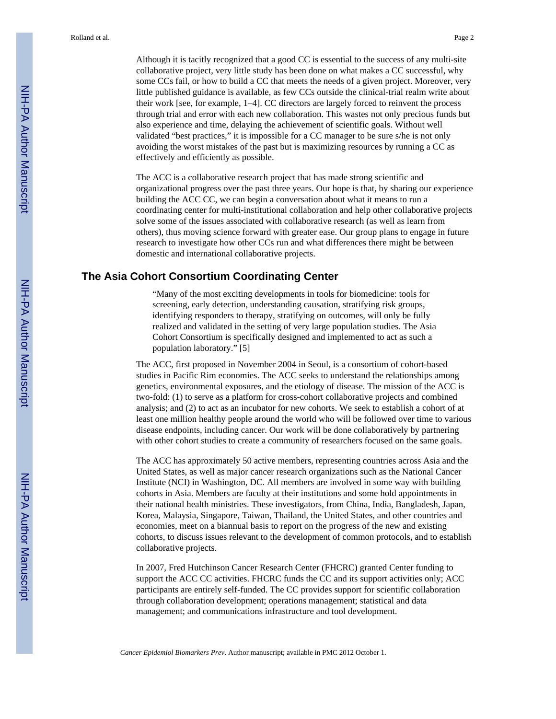Although it is tacitly recognized that a good CC is essential to the success of any multi-site collaborative project, very little study has been done on what makes a CC successful, why some CCs fail, or how to build a CC that meets the needs of a given project. Moreover, very little published guidance is available, as few CCs outside the clinical-trial realm write about their work [see, for example, 1–4]. CC directors are largely forced to reinvent the process through trial and error with each new collaboration. This wastes not only precious funds but also experience and time, delaying the achievement of scientific goals. Without well validated "best practices," it is impossible for a CC manager to be sure s/he is not only avoiding the worst mistakes of the past but is maximizing resources by running a CC as effectively and efficiently as possible.

The ACC is a collaborative research project that has made strong scientific and organizational progress over the past three years. Our hope is that, by sharing our experience building the ACC CC, we can begin a conversation about what it means to run a coordinating center for multi-institutional collaboration and help other collaborative projects solve some of the issues associated with collaborative research (as well as learn from others), thus moving science forward with greater ease. Our group plans to engage in future research to investigate how other CCs run and what differences there might be between domestic and international collaborative projects.

# **The Asia Cohort Consortium Coordinating Center**

"Many of the most exciting developments in tools for biomedicine: tools for screening, early detection, understanding causation, stratifying risk groups, identifying responders to therapy, stratifying on outcomes, will only be fully realized and validated in the setting of very large population studies. The Asia Cohort Consortium is specifically designed and implemented to act as such a population laboratory." [5]

The ACC, first proposed in November 2004 in Seoul, is a consortium of cohort-based studies in Pacific Rim economies. The ACC seeks to understand the relationships among genetics, environmental exposures, and the etiology of disease. The mission of the ACC is two-fold: (1) to serve as a platform for cross-cohort collaborative projects and combined analysis; and (2) to act as an incubator for new cohorts. We seek to establish a cohort of at least one million healthy people around the world who will be followed over time to various disease endpoints, including cancer. Our work will be done collaboratively by partnering with other cohort studies to create a community of researchers focused on the same goals.

The ACC has approximately 50 active members, representing countries across Asia and the United States, as well as major cancer research organizations such as the National Cancer Institute (NCI) in Washington, DC. All members are involved in some way with building cohorts in Asia. Members are faculty at their institutions and some hold appointments in their national health ministries. These investigators, from China, India, Bangladesh, Japan, Korea, Malaysia, Singapore, Taiwan, Thailand, the United States, and other countries and economies, meet on a biannual basis to report on the progress of the new and existing cohorts, to discuss issues relevant to the development of common protocols, and to establish collaborative projects.

In 2007, Fred Hutchinson Cancer Research Center (FHCRC) granted Center funding to support the ACC CC activities. FHCRC funds the CC and its support activities only; ACC participants are entirely self-funded. The CC provides support for scientific collaboration through collaboration development; operations management; statistical and data management; and communications infrastructure and tool development.

*Cancer Epidemiol Biomarkers Prev*. Author manuscript; available in PMC 2012 October 1.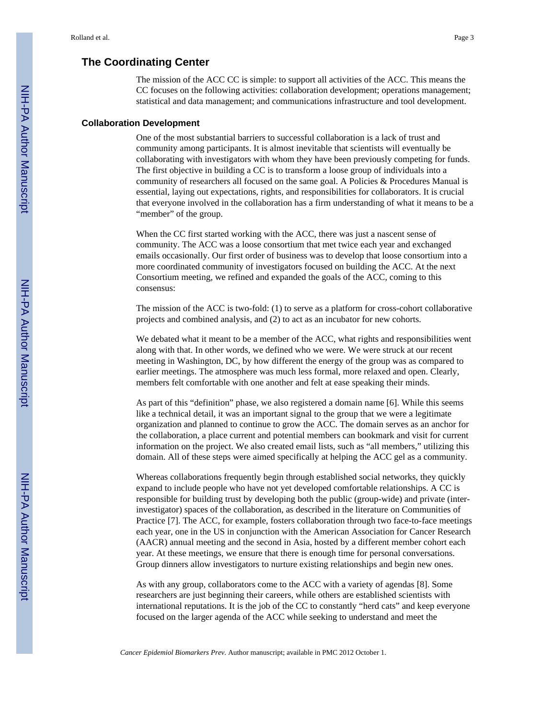# **The Coordinating Center**

The mission of the ACC CC is simple: to support all activities of the ACC. This means the CC focuses on the following activities: collaboration development; operations management; statistical and data management; and communications infrastructure and tool development.

#### **Collaboration Development**

One of the most substantial barriers to successful collaboration is a lack of trust and community among participants. It is almost inevitable that scientists will eventually be collaborating with investigators with whom they have been previously competing for funds. The first objective in building a CC is to transform a loose group of individuals into a community of researchers all focused on the same goal. A Policies & Procedures Manual is essential, laying out expectations, rights, and responsibilities for collaborators. It is crucial that everyone involved in the collaboration has a firm understanding of what it means to be a "member" of the group.

When the CC first started working with the ACC, there was just a nascent sense of community. The ACC was a loose consortium that met twice each year and exchanged emails occasionally. Our first order of business was to develop that loose consortium into a more coordinated community of investigators focused on building the ACC. At the next Consortium meeting, we refined and expanded the goals of the ACC, coming to this consensus:

The mission of the ACC is two-fold: (1) to serve as a platform for cross-cohort collaborative projects and combined analysis, and (2) to act as an incubator for new cohorts.

We debated what it meant to be a member of the ACC, what rights and responsibilities went along with that. In other words, we defined who we were. We were struck at our recent meeting in Washington, DC, by how different the energy of the group was as compared to earlier meetings. The atmosphere was much less formal, more relaxed and open. Clearly, members felt comfortable with one another and felt at ease speaking their minds.

As part of this "definition" phase, we also registered a domain name [6]. While this seems like a technical detail, it was an important signal to the group that we were a legitimate organization and planned to continue to grow the ACC. The domain serves as an anchor for the collaboration, a place current and potential members can bookmark and visit for current information on the project. We also created email lists, such as "all members," utilizing this domain. All of these steps were aimed specifically at helping the ACC gel as a community.

Whereas collaborations frequently begin through established social networks, they quickly expand to include people who have not yet developed comfortable relationships. A CC is responsible for building trust by developing both the public (group-wide) and private (interinvestigator) spaces of the collaboration, as described in the literature on Communities of Practice [7]. The ACC, for example, fosters collaboration through two face-to-face meetings each year, one in the US in conjunction with the American Association for Cancer Research (AACR) annual meeting and the second in Asia, hosted by a different member cohort each year. At these meetings, we ensure that there is enough time for personal conversations. Group dinners allow investigators to nurture existing relationships and begin new ones.

As with any group, collaborators come to the ACC with a variety of agendas [8]. Some researchers are just beginning their careers, while others are established scientists with international reputations. It is the job of the CC to constantly "herd cats" and keep everyone focused on the larger agenda of the ACC while seeking to understand and meet the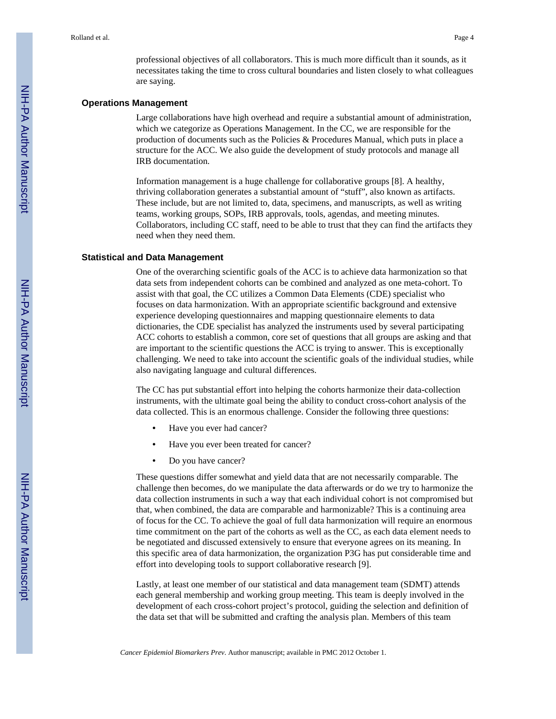professional objectives of all collaborators. This is much more difficult than it sounds, as it necessitates taking the time to cross cultural boundaries and listen closely to what colleagues are saying.

#### **Operations Management**

Large collaborations have high overhead and require a substantial amount of administration, which we categorize as Operations Management. In the CC, we are responsible for the production of documents such as the Policies & Procedures Manual, which puts in place a structure for the ACC. We also guide the development of study protocols and manage all IRB documentation.

Information management is a huge challenge for collaborative groups [8]. A healthy, thriving collaboration generates a substantial amount of "stuff", also known as artifacts. These include, but are not limited to, data, specimens, and manuscripts, as well as writing teams, working groups, SOPs, IRB approvals, tools, agendas, and meeting minutes. Collaborators, including CC staff, need to be able to trust that they can find the artifacts they need when they need them.

#### **Statistical and Data Management**

One of the overarching scientific goals of the ACC is to achieve data harmonization so that data sets from independent cohorts can be combined and analyzed as one meta-cohort. To assist with that goal, the CC utilizes a Common Data Elements (CDE) specialist who focuses on data harmonization. With an appropriate scientific background and extensive experience developing questionnaires and mapping questionnaire elements to data dictionaries, the CDE specialist has analyzed the instruments used by several participating ACC cohorts to establish a common, core set of questions that all groups are asking and that are important to the scientific questions the ACC is trying to answer. This is exceptionally challenging. We need to take into account the scientific goals of the individual studies, while also navigating language and cultural differences.

The CC has put substantial effort into helping the cohorts harmonize their data-collection instruments, with the ultimate goal being the ability to conduct cross-cohort analysis of the data collected. This is an enormous challenge. Consider the following three questions:

- **•** Have you ever had cancer?
- **•** Have you ever been treated for cancer?
- **•** Do you have cancer?

These questions differ somewhat and yield data that are not necessarily comparable. The challenge then becomes, do we manipulate the data afterwards or do we try to harmonize the data collection instruments in such a way that each individual cohort is not compromised but that, when combined, the data are comparable and harmonizable? This is a continuing area of focus for the CC. To achieve the goal of full data harmonization will require an enormous time commitment on the part of the cohorts as well as the CC, as each data element needs to be negotiated and discussed extensively to ensure that everyone agrees on its meaning. In this specific area of data harmonization, the organization P3G has put considerable time and effort into developing tools to support collaborative research [9].

Lastly, at least one member of our statistical and data management team (SDMT) attends each general membership and working group meeting. This team is deeply involved in the development of each cross-cohort project's protocol, guiding the selection and definition of the data set that will be submitted and crafting the analysis plan. Members of this team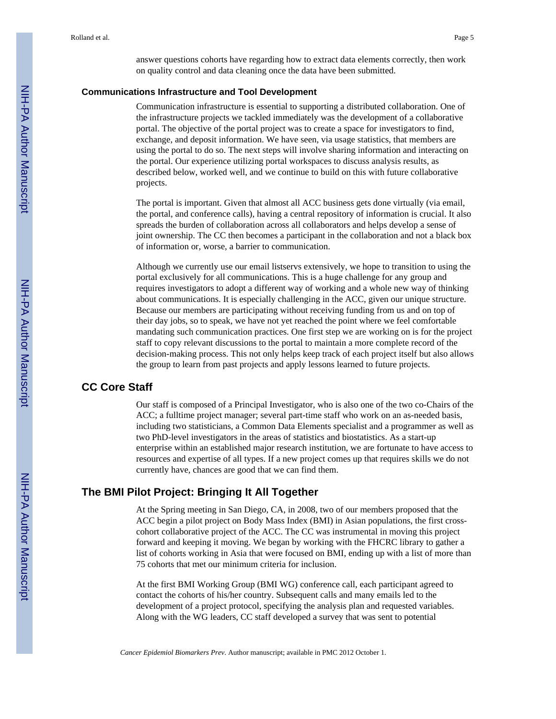#### **Communications Infrastructure and Tool Development**

Communication infrastructure is essential to supporting a distributed collaboration. One of the infrastructure projects we tackled immediately was the development of a collaborative portal. The objective of the portal project was to create a space for investigators to find, exchange, and deposit information. We have seen, via usage statistics, that members are using the portal to do so. The next steps will involve sharing information and interacting on the portal. Our experience utilizing portal workspaces to discuss analysis results, as described below, worked well, and we continue to build on this with future collaborative projects.

The portal is important. Given that almost all ACC business gets done virtually (via email, the portal, and conference calls), having a central repository of information is crucial. It also spreads the burden of collaboration across all collaborators and helps develop a sense of joint ownership. The CC then becomes a participant in the collaboration and not a black box of information or, worse, a barrier to communication.

Although we currently use our email listservs extensively, we hope to transition to using the portal exclusively for all communications. This is a huge challenge for any group and requires investigators to adopt a different way of working and a whole new way of thinking about communications. It is especially challenging in the ACC, given our unique structure. Because our members are participating without receiving funding from us and on top of their day jobs, so to speak, we have not yet reached the point where we feel comfortable mandating such communication practices. One first step we are working on is for the project staff to copy relevant discussions to the portal to maintain a more complete record of the decision-making process. This not only helps keep track of each project itself but also allows the group to learn from past projects and apply lessons learned to future projects.

# **CC Core Staff**

Our staff is composed of a Principal Investigator, who is also one of the two co-Chairs of the ACC; a fulltime project manager; several part-time staff who work on an as-needed basis, including two statisticians, a Common Data Elements specialist and a programmer as well as two PhD-level investigators in the areas of statistics and biostatistics. As a start-up enterprise within an established major research institution, we are fortunate to have access to resources and expertise of all types. If a new project comes up that requires skills we do not currently have, chances are good that we can find them.

# **The BMI Pilot Project: Bringing It All Together**

At the Spring meeting in San Diego, CA, in 2008, two of our members proposed that the ACC begin a pilot project on Body Mass Index (BMI) in Asian populations, the first crosscohort collaborative project of the ACC. The CC was instrumental in moving this project forward and keeping it moving. We began by working with the FHCRC library to gather a list of cohorts working in Asia that were focused on BMI, ending up with a list of more than 75 cohorts that met our minimum criteria for inclusion.

At the first BMI Working Group (BMI WG) conference call, each participant agreed to contact the cohorts of his/her country. Subsequent calls and many emails led to the development of a project protocol, specifying the analysis plan and requested variables. Along with the WG leaders, CC staff developed a survey that was sent to potential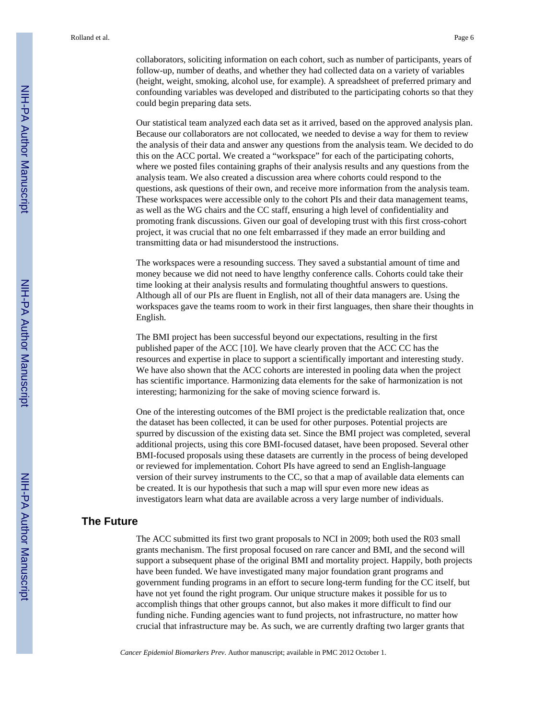Our statistical team analyzed each data set as it arrived, based on the approved analysis plan. Because our collaborators are not collocated, we needed to devise a way for them to review the analysis of their data and answer any questions from the analysis team. We decided to do this on the ACC portal. We created a "workspace" for each of the participating cohorts, where we posted files containing graphs of their analysis results and any questions from the analysis team. We also created a discussion area where cohorts could respond to the questions, ask questions of their own, and receive more information from the analysis team. These workspaces were accessible only to the cohort PIs and their data management teams, as well as the WG chairs and the CC staff, ensuring a high level of confidentiality and promoting frank discussions. Given our goal of developing trust with this first cross-cohort project, it was crucial that no one felt embarrassed if they made an error building and transmitting data or had misunderstood the instructions.

The workspaces were a resounding success. They saved a substantial amount of time and money because we did not need to have lengthy conference calls. Cohorts could take their time looking at their analysis results and formulating thoughtful answers to questions. Although all of our PIs are fluent in English, not all of their data managers are. Using the workspaces gave the teams room to work in their first languages, then share their thoughts in English.

The BMI project has been successful beyond our expectations, resulting in the first published paper of the ACC [10]. We have clearly proven that the ACC CC has the resources and expertise in place to support a scientifically important and interesting study. We have also shown that the ACC cohorts are interested in pooling data when the project has scientific importance. Harmonizing data elements for the sake of harmonization is not interesting; harmonizing for the sake of moving science forward is.

One of the interesting outcomes of the BMI project is the predictable realization that, once the dataset has been collected, it can be used for other purposes. Potential projects are spurred by discussion of the existing data set. Since the BMI project was completed, several additional projects, using this core BMI-focused dataset, have been proposed. Several other BMI-focused proposals using these datasets are currently in the process of being developed or reviewed for implementation. Cohort PIs have agreed to send an English-language version of their survey instruments to the CC, so that a map of available data elements can be created. It is our hypothesis that such a map will spur even more new ideas as investigators learn what data are available across a very large number of individuals.

# **The Future**

The ACC submitted its first two grant proposals to NCI in 2009; both used the R03 small grants mechanism. The first proposal focused on rare cancer and BMI, and the second will support a subsequent phase of the original BMI and mortality project. Happily, both projects have been funded. We have investigated many major foundation grant programs and government funding programs in an effort to secure long-term funding for the CC itself, but have not yet found the right program. Our unique structure makes it possible for us to accomplish things that other groups cannot, but also makes it more difficult to find our funding niche. Funding agencies want to fund projects, not infrastructure, no matter how crucial that infrastructure may be. As such, we are currently drafting two larger grants that

*Cancer Epidemiol Biomarkers Prev*. Author manuscript; available in PMC 2012 October 1.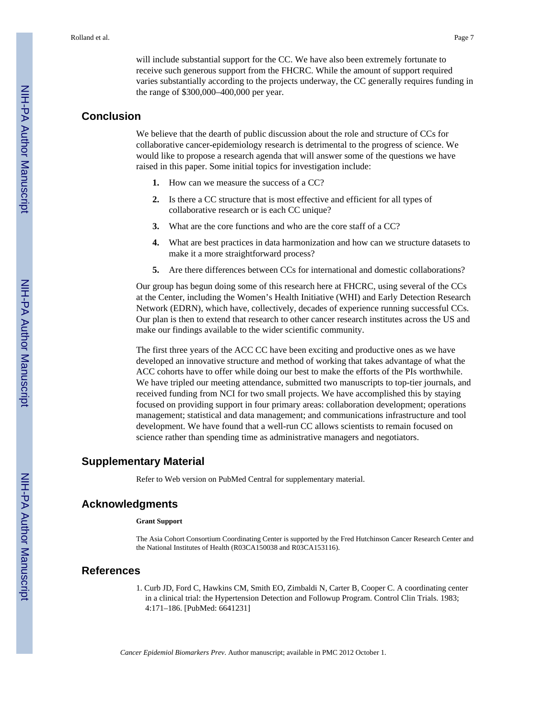will include substantial support for the CC. We have also been extremely fortunate to receive such generous support from the FHCRC. While the amount of support required varies substantially according to the projects underway, the CC generally requires funding in the range of \$300,000–400,000 per year.

# **Conclusion**

We believe that the dearth of public discussion about the role and structure of CCs for collaborative cancer-epidemiology research is detrimental to the progress of science. We would like to propose a research agenda that will answer some of the questions we have raised in this paper. Some initial topics for investigation include:

- **1.** How can we measure the success of a CC?
- **2.** Is there a CC structure that is most effective and efficient for all types of collaborative research or is each CC unique?
- **3.** What are the core functions and who are the core staff of a CC?
- **4.** What are best practices in data harmonization and how can we structure datasets to make it a more straightforward process?
- **5.** Are there differences between CCs for international and domestic collaborations?

Our group has begun doing some of this research here at FHCRC, using several of the CCs at the Center, including the Women's Health Initiative (WHI) and Early Detection Research Network (EDRN), which have, collectively, decades of experience running successful CCs. Our plan is then to extend that research to other cancer research institutes across the US and make our findings available to the wider scientific community.

The first three years of the ACC CC have been exciting and productive ones as we have developed an innovative structure and method of working that takes advantage of what the ACC cohorts have to offer while doing our best to make the efforts of the PIs worthwhile. We have tripled our meeting attendance, submitted two manuscripts to top-tier journals, and received funding from NCI for two small projects. We have accomplished this by staying focused on providing support in four primary areas: collaboration development; operations management; statistical and data management; and communications infrastructure and tool development. We have found that a well-run CC allows scientists to remain focused on science rather than spending time as administrative managers and negotiators.

# **Supplementary Material**

Refer to Web version on PubMed Central for supplementary material.

#### **Acknowledgments**

#### **Grant Support**

The Asia Cohort Consortium Coordinating Center is supported by the Fred Hutchinson Cancer Research Center and the National Institutes of Health (R03CA150038 and R03CA153116).

# **References**

1. Curb JD, Ford C, Hawkins CM, Smith EO, Zimbaldi N, Carter B, Cooper C. A coordinating center in a clinical trial: the Hypertension Detection and Followup Program. Control Clin Trials. 1983; 4:171–186. [PubMed: 6641231]